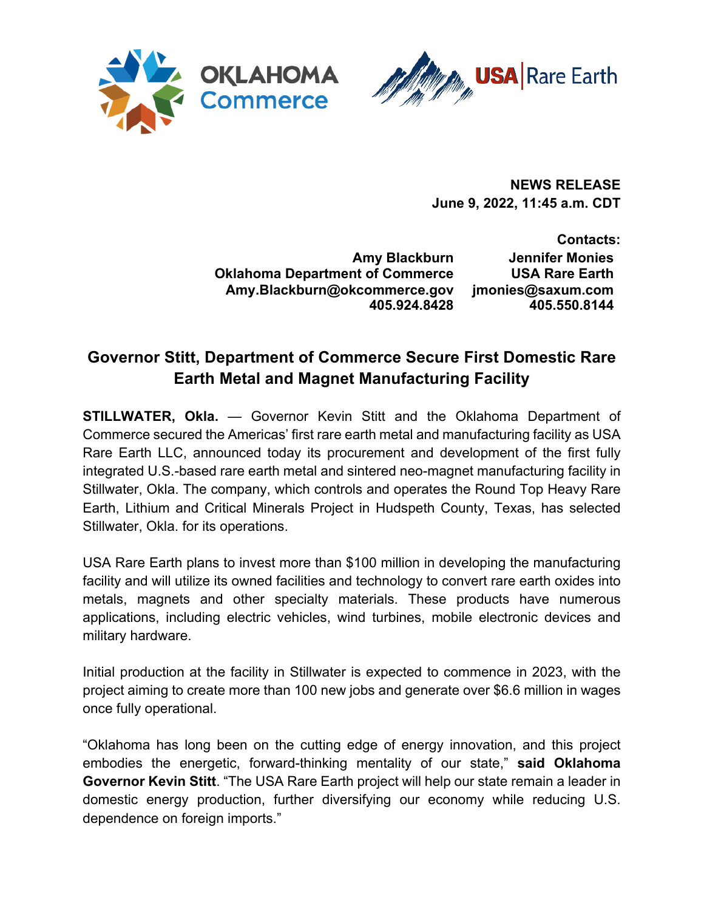



**NEWS RELEASE June 9, 2022, 11:45 a.m. CDT**

**Amy Blackburn Oklahoma Department of Commerce Amy.Blackburn@okcommerce.gov 405.924.8428**

**Contacts: Jennifer Monies USA Rare Earth jmonies@saxum.com 405.550.8144**

## **Governor Stitt, Department of Commerce Secure First Domestic Rare Earth Metal and Magnet Manufacturing Facility**

**STILLWATER, Okla.** — Governor Kevin Stitt and the Oklahoma Department of Commerce secured the Americas' first rare earth metal and manufacturing facility as USA Rare Earth LLC, announced today its procurement and development of the first fully integrated U.S.-based rare earth metal and sintered neo-magnet manufacturing facility in Stillwater, Okla. The company, which controls and operates the Round Top Heavy Rare Earth, Lithium and Critical Minerals Project in Hudspeth County, Texas, has selected Stillwater, Okla. for its operations.

USA Rare Earth plans to invest more than \$100 million in developing the manufacturing facility and will utilize its owned facilities and technology to convert rare earth oxides into metals, magnets and other specialty materials. These products have numerous applications, including electric vehicles, wind turbines, mobile electronic devices and military hardware.

Initial production at the facility in Stillwater is expected to commence in 2023, with the project aiming to create more than 100 new jobs and generate over \$6.6 million in wages once fully operational.

"Oklahoma has long been on the cutting edge of energy innovation, and this project embodies the energetic, forward-thinking mentality of our state," **said Oklahoma Governor Kevin Stitt**. "The USA Rare Earth project will help our state remain a leader in domestic energy production, further diversifying our economy while reducing U.S. dependence on foreign imports."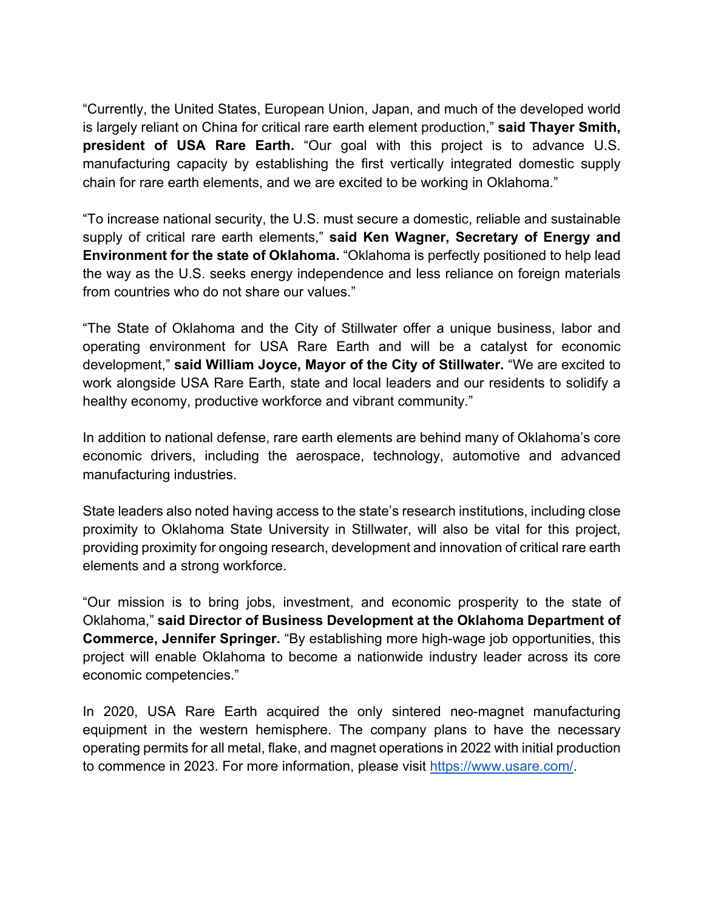"Currently, the United States, European Union, Japan, and much of the developed world is largely reliant on China for critical rare earth element production," **said Thayer Smith, president of USA Rare Earth.** "Our goal with this project is to advance U.S. manufacturing capacity by establishing the first vertically integrated domestic supply chain for rare earth elements, and we are excited to be working in Oklahoma."

"To increase national security, the U.S. must secure a domestic, reliable and sustainable supply of critical rare earth elements," **said Ken Wagner, Secretary of Energy and Environment for the state of Oklahoma.** "Oklahoma is perfectly positioned to help lead the way as the U.S. seeks energy independence and less reliance on foreign materials from countries who do not share our values."

"The State of Oklahoma and the City of Stillwater offer a unique business, labor and operating environment for USA Rare Earth and will be a catalyst for economic development," **said William Joyce, Mayor of the City of Stillwater.** "We are excited to work alongside USA Rare Earth, state and local leaders and our residents to solidify a healthy economy, productive workforce and vibrant community."

In addition to national defense, rare earth elements are behind many of Oklahoma's core economic drivers, including the aerospace, technology, automotive and advanced manufacturing industries.

State leaders also noted having access to the state's research institutions, including close proximity to Oklahoma State University in Stillwater, will also be vital for this project, providing proximity for ongoing research, development and innovation of critical rare earth elements and a strong workforce.

"Our mission is to bring jobs, investment, and economic prosperity to the state of Oklahoma," **said Director of Business Development at the Oklahoma Department of Commerce, Jennifer Springer.** "By establishing more high-wage job opportunities, this project will enable Oklahoma to become a nationwide industry leader across its core economic competencies."

In 2020, USA Rare Earth acquired the only sintered neo-magnet manufacturing equipment in the western hemisphere. The company plans to have the necessary operating permits for all metal, flake, and magnet operations in 2022 with initial production to commence in 2023. For more information, please visit https://www.usare.com/.